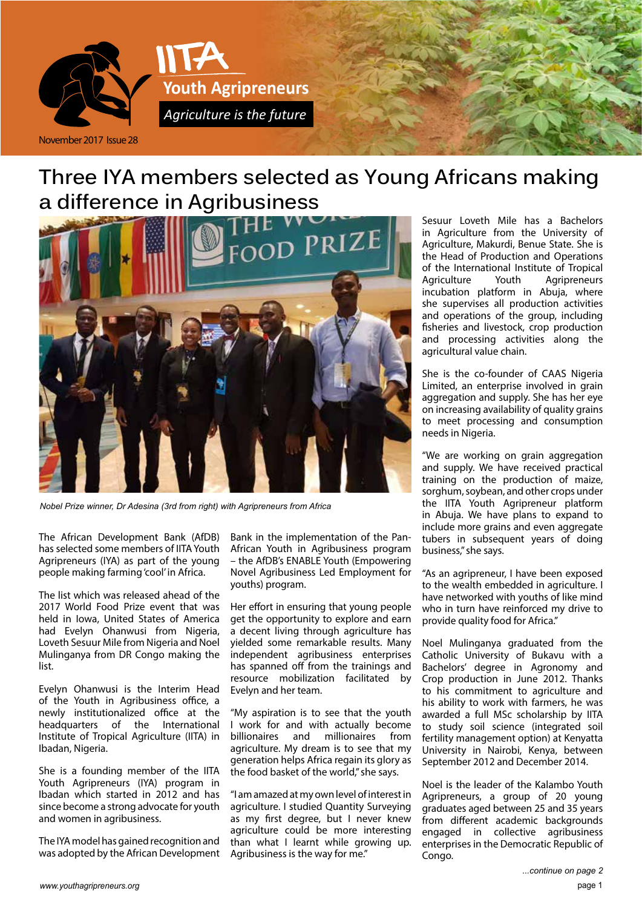

# **Three IYA members selected as Young Africans making a difference in Agribusiness**



*Nobel Prize winner, Dr Adesina (3rd from right) with Agripreneurs from Africa*

The African Development Bank (AfDB) has selected some members of IITA Youth Agripreneurs (IYA) as part of the young people making farming 'cool' in Africa.

The list which was released ahead of the 2017 World Food Prize event that was held in Iowa, United States of America had Evelyn Ohanwusi from Nigeria, Loveth Sesuur Mile from Nigeria and Noel Mulinganya from DR Congo making the list.

Evelyn Ohanwusi is the Interim Head of the Youth in Agribusiness office, a newly institutionalized office at the headquarters of the International Institute of Tropical Agriculture (IITA) in Ibadan, Nigeria.

She is a founding member of the IITA Youth Agripreneurs (IYA) program in Ibadan which started in 2012 and has since become a strong advocate for youth and women in agribusiness.

The IYA model has gained recognition and was adopted by the African Development Bank in the implementation of the Pan-African Youth in Agribusiness program – the AfDB's ENABLE Youth (Empowering Novel Agribusiness Led Employment for youths) program.

Her effort in ensuring that young people get the opportunity to explore and earn a decent living through agriculture has yielded some remarkable results. Many independent agribusiness enterprises has spanned off from the trainings and resource mobilization facilitated by Evelyn and her team.

"My aspiration is to see that the youth I work for and with actually become billionaires and millionaires from agriculture. My dream is to see that my generation helps Africa regain its glory as the food basket of the world," she says.

"I am amazed at my own level of interest in agriculture. I studied Quantity Surveying as my first degree, but I never knew agriculture could be more interesting than what I learnt while growing up. Agribusiness is the way for me."

Sesuur Loveth Mile has a Bachelors in Agriculture from the University of Agriculture, Makurdi, Benue State. She is the Head of Production and Operations of the International Institute of Tropical Agriculture Youth Agripreneurs incubation platform in Abuja, where she supervises all production activities and operations of the group, including fisheries and livestock, crop production and processing activities along the agricultural value chain.

She is the co-founder of CAAS Nigeria Limited, an enterprise involved in grain aggregation and supply. She has her eye on increasing availability of quality grains to meet processing and consumption needs in Nigeria.

"We are working on grain aggregation and supply. We have received practical training on the production of maize, sorghum, soybean, and other crops under the IITA Youth Agripreneur platform in Abuja. We have plans to expand to include more grains and even aggregate tubers in subsequent years of doing business," she says.

"As an agripreneur, I have been exposed to the wealth embedded in agriculture. I have networked with youths of like mind who in turn have reinforced my drive to provide quality food for Africa."

Noel Mulinganya graduated from the Catholic University of Bukavu with a Bachelors' degree in Agronomy and Crop production in June 2012. Thanks to his commitment to agriculture and his ability to work with farmers, he was awarded a full MSc scholarship by IITA to study soil science (integrated soil fertility management option) at Kenyatta University in Nairobi, Kenya, between September 2012 and December 2014.

Noel is the leader of the Kalambo Youth Agripreneurs, a group of 20 young graduates aged between 25 and 35 years from different academic backgrounds engaged in collective agribusiness enterprises in the Democratic Republic of Congo.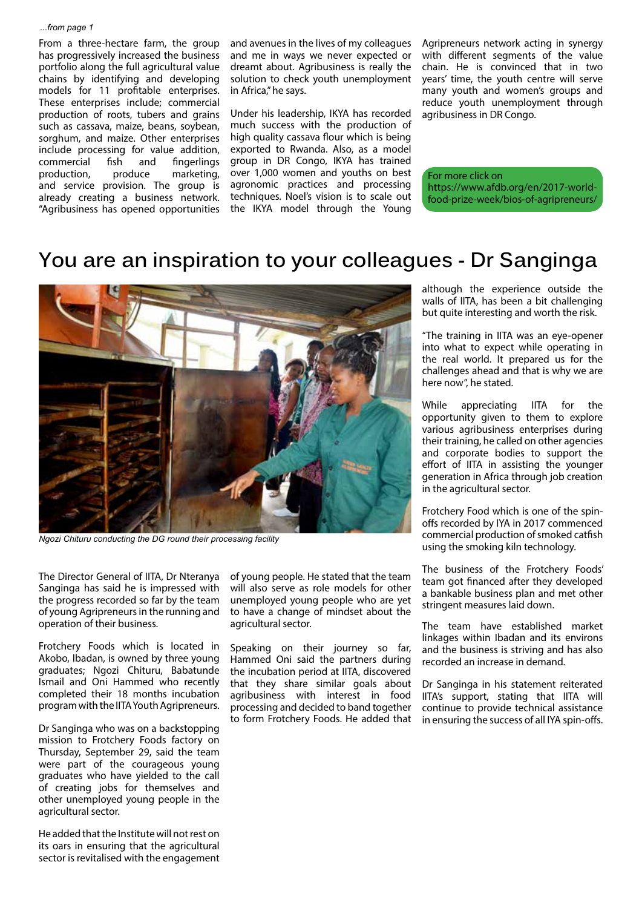#### *...from page 1*

From a three-hectare farm, the group has progressively increased the business portfolio along the full agricultural value chains by identifying and developing models for 11 profitable enterprises. These enterprises include; commercial production of roots, tubers and grains such as cassava, maize, beans, soybean, sorghum, and maize. Other enterprises include processing for value addition, commercial fish and fingerlings<br>production, produce marketing. production, produce marketing, and service provision. The group is already creating a business network. "Agribusiness has opened opportunities and avenues in the lives of my colleagues and me in ways we never expected or dreamt about. Agribusiness is really the solution to check youth unemployment in Africa," he says.

Under his leadership, IKYA has recorded much success with the production of high quality cassava flour which is being exported to Rwanda. Also, as a model group in DR Congo, IKYA has trained over 1,000 women and youths on best agronomic practices and processing techniques. Noel's vision is to scale out the IKYA model through the Young

Agripreneurs network acting in synergy with different segments of the value chain. He is convinced that in two years' time, the youth centre will serve many youth and women's groups and reduce youth unemployment through agribusiness in DR Congo.

For more click on https://www.afdb.org/en/2017-worldfood-prize-week/bios-of-agripreneurs/

#### **You are an inspiration to your colleagues - Dr Sanginga**



*Ngozi Chituru conducting the DG round their processing facility*

The Director General of IITA, Dr Nteranya Sanginga has said he is impressed with the progress recorded so far by the team of young Agripreneurs in the running and operation of their business.

Frotchery Foods which is located in Akobo, Ibadan, is owned by three young graduates; Ngozi Chituru, Babatunde Ismail and Oni Hammed who recently completed their 18 months incubation program with the IITA Youth Agripreneurs.

Dr Sanginga who was on a backstopping mission to Frotchery Foods factory on Thursday, September 29, said the team were part of the courageous young graduates who have yielded to the call of creating jobs for themselves and other unemployed young people in the agricultural sector.

He added that the Institute will not rest on its oars in ensuring that the agricultural sector is revitalised with the engagement of young people. He stated that the team will also serve as role models for other unemployed young people who are yet to have a change of mindset about the agricultural sector.

Speaking on their journey so far, Hammed Oni said the partners during the incubation period at IITA, discovered that they share similar goals about agribusiness with interest in food processing and decided to band together to form Frotchery Foods. He added that although the experience outside the walls of IITA, has been a bit challenging but quite interesting and worth the risk.

"The training in IITA was an eye-opener into what to expect while operating in the real world. It prepared us for the challenges ahead and that is why we are here now", he stated.

While appreciating IITA for the opportunity given to them to explore various agribusiness enterprises during their training, he called on other agencies and corporate bodies to support the effort of IITA in assisting the younger generation in Africa through job creation in the agricultural sector.

Frotchery Food which is one of the spinoffs recorded by IYA in 2017 commenced commercial production of smoked catfish using the smoking kiln technology.

The business of the Frotchery Foods' team got financed after they developed a bankable business plan and met other stringent measures laid down.

The team have established market linkages within Ibadan and its environs and the business is striving and has also recorded an increase in demand.

Dr Sanginga in his statement reiterated IITA's support, stating that IITA will continue to provide technical assistance in ensuring the success of all IYA spin-offs.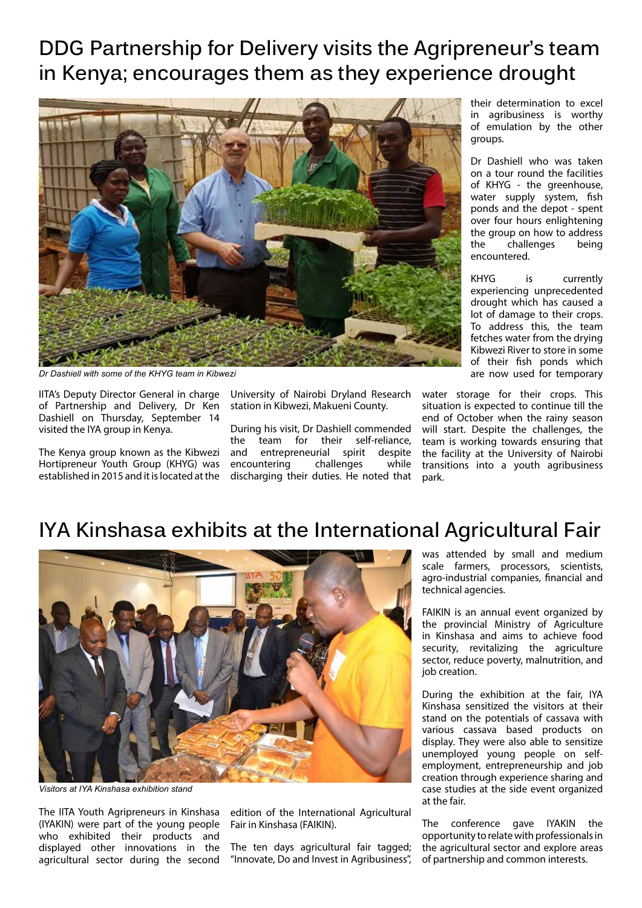# **DDG Partnership for Delivery visits the Agripreneur's team in Kenya; encourages them as they experience drought**



*Dr Dashiell with some of the KHYG team in Kibwezi*

IITA's Deputy Director General in charge of Partnership and Delivery, Dr Ken Dashiell on Thursday, September 14 visited the IYA group in Kenya.

The Kenya group known as the Kibwezi Hortipreneur Youth Group (KHYG) was established in 2015 and it is located at the

University of Nairobi Dryland Research station in Kibwezi, Makueni County.

During his visit, Dr Dashiell commended the team for their self-reliance, and entrepreneurial spirit despite encountering challenges while discharging their duties. He noted that their determination to excel in agribusiness is worthy of emulation by the other groups.

Dr Dashiell who was taken on a tour round the facilities of KHYG - the greenhouse, water supply system, fish ponds and the depot - spent over four hours enlightening the group on how to address the challenges being encountered.

KHYG is currently experiencing unprecedented drought which has caused a lot of damage to their crops. To address this, the team fetches water from the drying Kibwezi River to store in some of their fish ponds which are now used for temporary

water storage for their crops. This situation is expected to continue till the end of October when the rainy season will start. Despite the challenges, the team is working towards ensuring that the facility at the University of Nairobi transitions into a youth agribusiness park.

## **IYA Kinshasa exhibits at the International Agricultural Fair**



*Visitors at IYA Kinshasa exhibition stand*

The IITA Youth Agripreneurs in Kinshasa (IYAKIN) were part of the young people who exhibited their products and displayed other innovations in the agricultural sector during the second edition of the International Agricultural Fair in Kinshasa (FAIKIN).

The ten days agricultural fair tagged; "Innovate, Do and Invest in Agribusiness", was attended by small and medium scale farmers, processors, scientists, agro-industrial companies, financial and technical agencies.

FAIKIN is an annual event organized by the provincial Ministry of Agriculture in Kinshasa and aims to achieve food security, revitalizing the agriculture sector, reduce poverty, malnutrition, and job creation.

During the exhibition at the fair, IYA Kinshasa sensitized the visitors at their stand on the potentials of cassava with various cassava based products on display. They were also able to sensitize unemployed young people on selfemployment, entrepreneurship and job creation through experience sharing and case studies at the side event organized at the fair.

The conference gave IYAKIN the opportunity to relate with professionals in the agricultural sector and explore areas of partnership and common interests.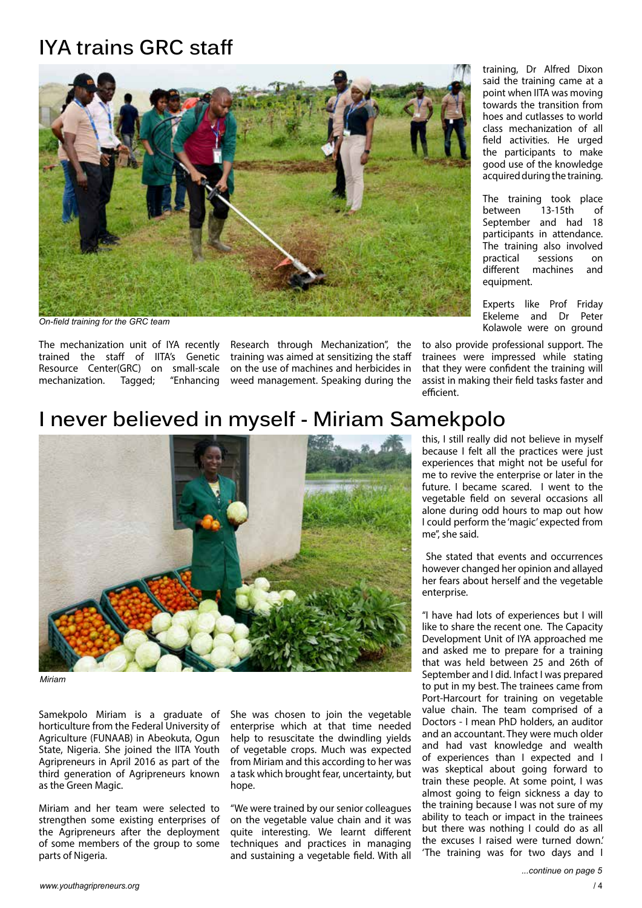# **IYA trains GRC staff**



*On-field training for the GRC team*

The mechanization unit of IYA recently trained the staff of IITA's Genetic Resource Center(GRC) on small-scale mechanization. Tagged; "Enhancing

Research through Mechanization", the training was aimed at sensitizing the staff on the use of machines and herbicides in weed management. Speaking during the training, Dr Alfred Dixon said the training came at a point when IITA was moving towards the transition from hoes and cutlasses to world class mechanization of all field activities. He urged the participants to make good use of the knowledge acquired during the training.

The training took place between 13-15th of September and had 18 participants in attendance. The training also involved practical sessions on different machines and equipment.

Experts like Prof Friday Ekeleme and Dr Peter Kolawole were on ground

to also provide professional support. The trainees were impressed while stating that they were confident the training will assist in making their field tasks faster and efficient.

## **I never believed in myself - Miriam Samekpolo**



*Miriam* 

Samekpolo Miriam is a graduate of horticulture from the Federal University of Agriculture (FUNAAB) in Abeokuta, Ogun State, Nigeria. She joined the IITA Youth Agripreneurs in April 2016 as part of the third generation of Agripreneurs known as the Green Magic.

Miriam and her team were selected to strengthen some existing enterprises of the Agripreneurs after the deployment of some members of the group to some parts of Nigeria.

She was chosen to join the vegetable enterprise which at that time needed help to resuscitate the dwindling vields of vegetable crops. Much was expected from Miriam and this according to her was a task which brought fear, uncertainty, but hope.

"We were trained by our senior colleagues on the vegetable value chain and it was quite interesting. We learnt different techniques and practices in managing and sustaining a vegetable field. With all

this, I still really did not believe in myself because I felt all the practices were just experiences that might not be useful for me to revive the enterprise or later in the future. I became scared. I went to the vegetable field on several occasions all alone during odd hours to map out how I could perform the 'magic' expected from me", she said.

 She stated that events and occurrences however changed her opinion and allayed her fears about herself and the vegetable enterprise.

"I have had lots of experiences but I will like to share the recent one. The Capacity Development Unit of IYA approached me and asked me to prepare for a training that was held between 25 and 26th of September and I did. Infact I was prepared to put in my best. The trainees came from Port-Harcourt for training on vegetable value chain. The team comprised of a Doctors - I mean PhD holders, an auditor and an accountant. They were much older and had vast knowledge and wealth of experiences than I expected and I was skeptical about going forward to train these people. At some point, I was almost going to feign sickness a day to the training because I was not sure of my ability to teach or impact in the trainees but there was nothing I could do as all the excuses I raised were turned down.' 'The training was for two days and I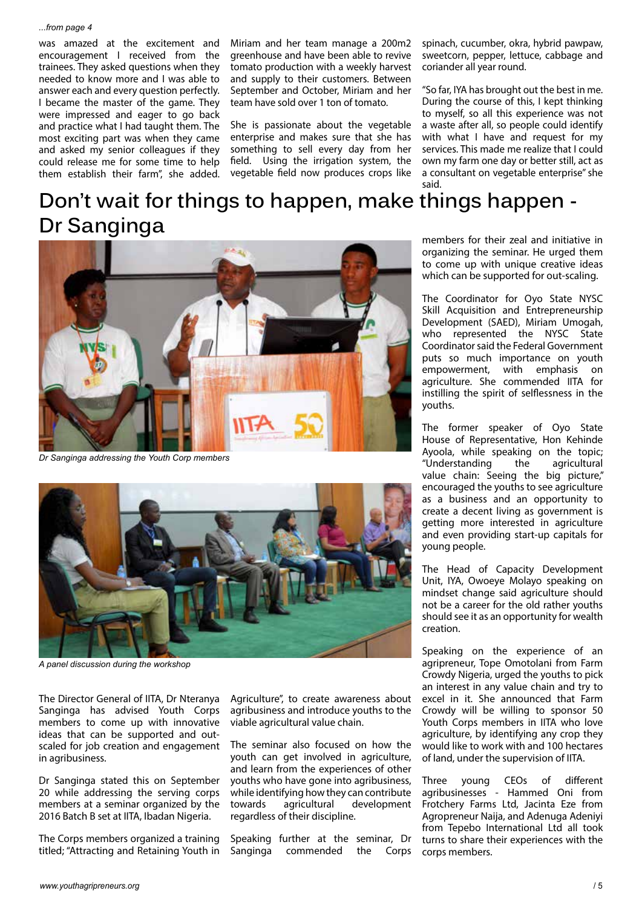was amazed at the excitement and encouragement I received from the trainees. They asked questions when they needed to know more and I was able to answer each and every question perfectly. I became the master of the game. They were impressed and eager to go back and practice what I had taught them. The most exciting part was when they came and asked my senior colleagues if they could release me for some time to help them establish their farm", she added. Miriam and her team manage a 200m2 greenhouse and have been able to revive tomato production with a weekly harvest and supply to their customers. Between September and October, Miriam and her team have sold over 1 ton of tomato.

She is passionate about the vegetable enterprise and makes sure that she has something to sell every day from her field. Using the irrigation system, the vegetable field now produces crops like spinach, cucumber, okra, hybrid pawpaw, sweetcorn, pepper, lettuce, cabbage and coriander all year round.

"So far, IYA has brought out the best in me. During the course of this, I kept thinking to myself, so all this experience was not a waste after all, so people could identify with what I have and request for my services. This made me realize that I could own my farm one day or better still, act as a consultant on vegetable enterprise" she said.

# **Don't wait for things to happen, make things happen - Dr Sanginga**



*Dr Sanginga addressing the Youth Corp members*



*A panel discussion during the workshop*

The Director General of IITA, Dr Nteranya Sanginga has advised Youth Corps members to come up with innovative ideas that can be supported and outscaled for job creation and engagement in agribusiness.

Dr Sanginga stated this on September 20 while addressing the serving corps members at a seminar organized by the 2016 Batch B set at IITA, Ibadan Nigeria.

The Corps members organized a training titled; "Attracting and Retaining Youth in Agriculture", to create awareness about agribusiness and introduce youths to the viable agricultural value chain.

The seminar also focused on how the youth can get involved in agriculture, and learn from the experiences of other youths who have gone into agribusiness, while identifying how they can contribute towards agricultural development regardless of their discipline.

Speaking further at the seminar, Dr Sanginga commended the Corps members for their zeal and initiative in organizing the seminar. He urged them to come up with unique creative ideas which can be supported for out-scaling.

The Coordinator for Oyo State NYSC Skill Acquisition and Entrepreneurship Development (SAED), Miriam Umogah, who represented the NYSC State Coordinator said the Federal Government puts so much importance on youth<br>empowerment, with emphasis on with emphasis on agriculture. She commended IITA for instilling the spirit of selflessness in the youths.

The former speaker of Oyo State House of Representative, Hon Kehinde Ayoola, while speaking on the topic; "Understanding the agricultural value chain: Seeing the big picture," encouraged the youths to see agriculture as a business and an opportunity to create a decent living as government is getting more interested in agriculture and even providing start-up capitals for young people.

The Head of Capacity Development Unit, IYA, Owoeye Molayo speaking on mindset change said agriculture should not be a career for the old rather youths should see it as an opportunity for wealth creation.

Speaking on the experience of an agripreneur, Tope Omotolani from Farm Crowdy Nigeria, urged the youths to pick an interest in any value chain and try to excel in it. She announced that Farm Crowdy will be willing to sponsor 50 Youth Corps members in IITA who love agriculture, by identifying any crop they would like to work with and 100 hectares of land, under the supervision of IITA.

Three young CEOs of different agribusinesses - Hammed Oni from Frotchery Farms Ltd, Jacinta Eze from Agropreneur Naija, and Adenuga Adeniyi from Tepebo International Ltd all took turns to share their experiences with the corps members.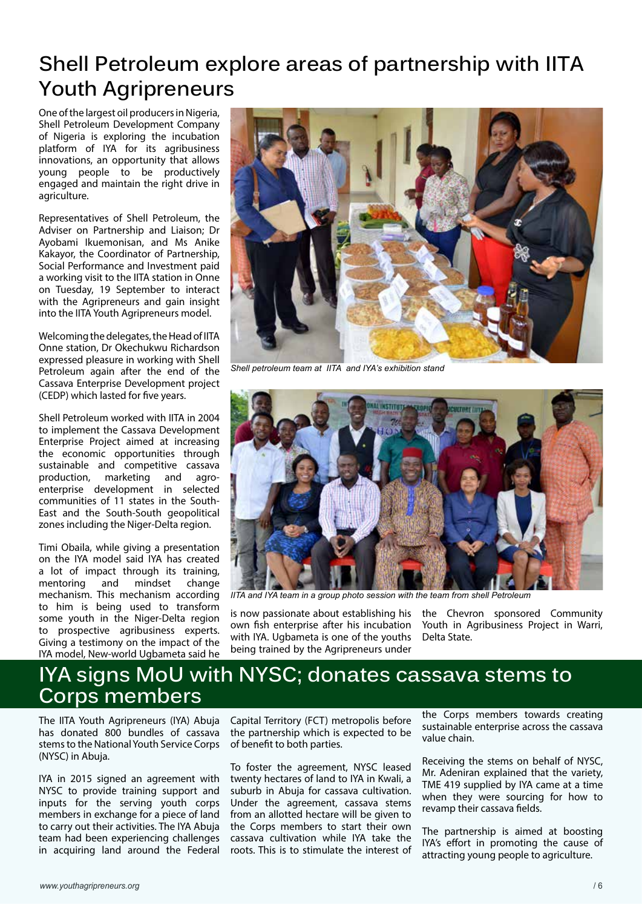# **Shell Petroleum explore areas of partnership with IITA Youth Agripreneurs**

One of the largest oil producers in Nigeria, Shell Petroleum Development Company of Nigeria is exploring the incubation platform of IYA for its agribusiness innovations, an opportunity that allows young people to be productively engaged and maintain the right drive in agriculture.

Representatives of Shell Petroleum, the Adviser on Partnership and Liaison; Dr Ayobami Ikuemonisan, and Ms Anike Kakayor, the Coordinator of Partnership, Social Performance and Investment paid a working visit to the IITA station in Onne on Tuesday, 19 September to interact with the Agripreneurs and gain insight into the IITA Youth Agripreneurs model.

Welcoming the delegates, the Head of IITA Onne station, Dr Okechukwu Richardson expressed pleasure in working with Shell Petroleum again after the end of the Cassava Enterprise Development project (CEDP) which lasted for five years.

Shell Petroleum worked with IITA in 2004 to implement the Cassava Development Enterprise Project aimed at increasing the economic opportunities through sustainable and competitive cassava production, marketing and agroenterprise development in selected communities of 11 states in the South-East and the South-South geopolitical zones including the Niger-Delta region.

Timi Obaila, while giving a presentation on the IYA model said IYA has created a lot of impact through its training, mentoring and mindset change mechanism. This mechanism according to him is being used to transform some youth in the Niger-Delta region to prospective agribusiness experts. Giving a testimony on the impact of the IYA model, New-world Ugbameta said he



*Shell petroleum team at IITA and IYA's exhibition stand* 



*IITA and IYA team in a group photo session with the team from shell Petroleum* 

is now passionate about establishing his own fish enterprise after his incubation with IYA. Ugbameta is one of the youths being trained by the Agripreneurs under

the Chevron sponsored Community Youth in Agribusiness Project in Warri, Delta State.

## **IYA signs MoU with NYSC; donates cassava stems to Corps members**

The IITA Youth Agripreneurs (IYA) Abuja has donated 800 bundles of cassava stems to the National Youth Service Corps (NYSC) in Abuja.

IYA in 2015 signed an agreement with NYSC to provide training support and inputs for the serving youth corps members in exchange for a piece of land to carry out their activities. The IYA Abuja team had been experiencing challenges in acquiring land around the Federal Capital Territory (FCT) metropolis before the partnership which is expected to be of benefit to both parties.

To foster the agreement, NYSC leased twenty hectares of land to IYA in Kwali, a suburb in Abuja for cassava cultivation. Under the agreement, cassava stems from an allotted hectare will be given to the Corps members to start their own cassava cultivation while IYA take the roots. This is to stimulate the interest of

the Corps members towards creating sustainable enterprise across the cassava value chain.

Receiving the stems on behalf of NYSC, Mr. Adeniran explained that the variety, TME 419 supplied by IYA came at a time when they were sourcing for how to revamp their cassava fields.

The partnership is aimed at boosting IYA's effort in promoting the cause of attracting young people to agriculture.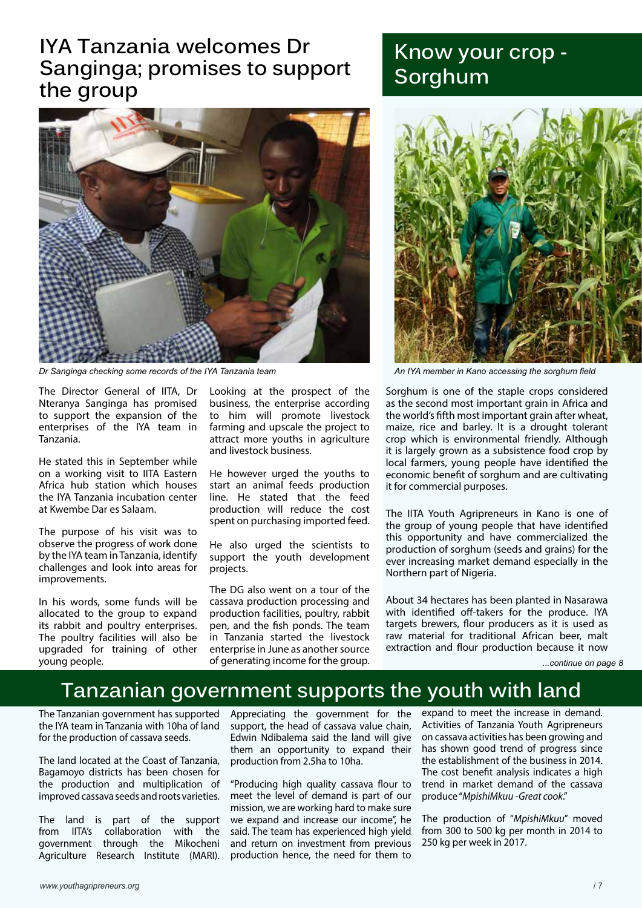## **IYA Tanzania welcomes Dr Sanginga; promises to support the group**



*Dr Sanginga checking some records of the IYA Tanzania team An IYA member in Kano accessing the sorghum field*

The Director General of IITA, Dr Nteranya Sanginga has promised to support the expansion of the enterprises of the IYA team in Tanzania.

He stated this in September while on a working visit to IITA Eastern Africa hub station which houses the IYA Tanzania incubation center at Kwembe Dar es Salaam.

The purpose of his visit was to observe the progress of work done by the IYA team in Tanzania, identify challenges and look into areas for improvements.

In his words, some funds will be allocated to the group to expand its rabbit and poultry enterprises. The poultry facilities will also be upgraded for training of other young people.

Looking at the prospect of the business, the enterprise according to him will promote livestock farming and upscale the project to attract more youths in agriculture and livestock business.

He however urged the youths to start an animal feeds production line. He stated that the feed production will reduce the cost spent on purchasing imported feed.

He also urged the scientists to support the youth development projects.

The DG also went on a tour of the cassava production processing and production facilities, poultry, rabbit pen, and the fish ponds. The team in Tanzania started the livestock enterprise in June as another source of generating income for the group.

# **Know your crop - Sorghum**



Sorghum is one of the staple crops considered as the second most important grain in Africa and the world's fifth most important grain after wheat, maize, rice and barley. It is a drought tolerant crop which is environmental friendly. Although it is largely grown as a subsistence food crop by local farmers, young people have identified the economic benefit of sorghum and are cultivating it for commercial purposes.

The IITA Youth Agripreneurs in Kano is one of the group of young people that have identified this opportunity and have commercialized the production of sorghum (seeds and grains) for the ever increasing market demand especially in the Northern part of Nigeria.

About 34 hectares has been planted in Nasarawa with identified off-takers for the produce. IYA targets brewers, flour producers as it is used as raw material for traditional African beer, malt extraction and flour production because it now

```
...continue on page 8
```
## **Tanzanian government supports the youth with land**

The Tanzanian government has supported the IYA team in Tanzania with 10ha of land for the production of cassava seeds.

The land located at the Coast of Tanzania, Bagamoyo districts has been chosen for the production and multiplication of improved cassava seeds and roots varieties.

The land is part of the support from IITA's collaboration with the government through the Mikocheni Agriculture Research Institute (MARI). Appreciating the government for the support, the head of cassava value chain, Edwin Ndibalema said the land will give them an opportunity to expand their production from 2.5ha to 10ha.

"Producing high quality cassava flour to meet the level of demand is part of our mission, we are working hard to make sure we expand and increase our income", he said. The team has experienced high yield and return on investment from previous production hence, the need for them to

expand to meet the increase in demand. Activities of Tanzania Youth Agripreneurs on cassava activities has been growing and has shown good trend of progress since the establishment of the business in 2014. The cost benefit analysis indicates a high trend in market demand of the cassava produce "*MpishiMkuu -Great cook*."

The production of "*MpishiMkuu*" moved from 300 to 500 kg per month in 2014 to 250 kg per week in 2017.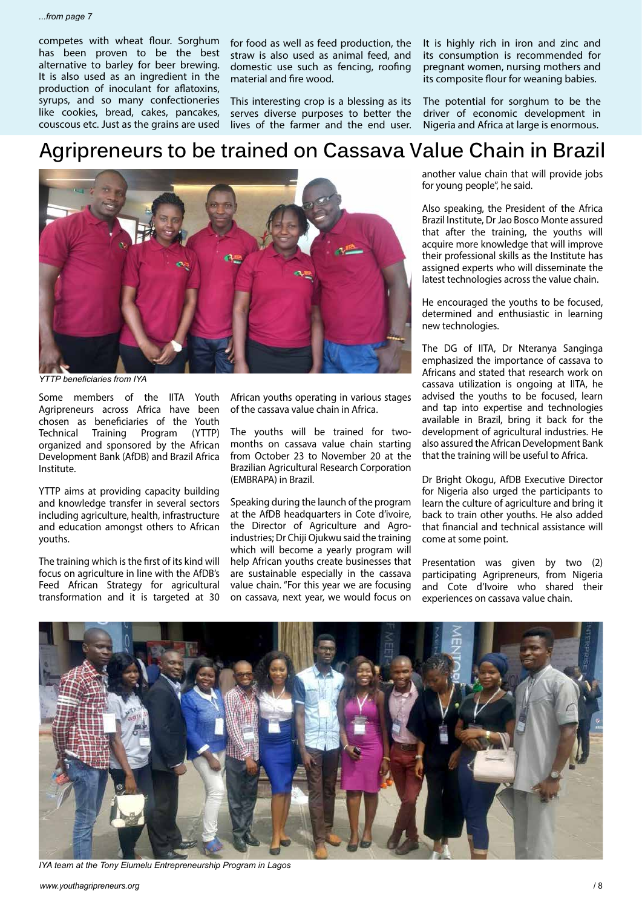competes with wheat flour. Sorghum has been proven to be the best alternative to barley for beer brewing. It is also used as an ingredient in the production of inoculant for aflatoxins, syrups, and so many confectioneries like cookies, bread, cakes, pancakes, couscous etc. Just as the grains are used

for food as well as feed production, the straw is also used as animal feed, and domestic use such as fencing, roofing material and fire wood.

This interesting crop is a blessing as its serves diverse purposes to better the lives of the farmer and the end user. It is highly rich in iron and zinc and its consumption is recommended for pregnant women, nursing mothers and its composite flour for weaning babies.

The potential for sorghum to be the driver of economic development in Nigeria and Africa at large is enormous.

### **Agripreneurs to be trained on Cassava Value Chain in Brazil**



*YTTP beneficiaries from IYA*

Some members of the IITA Youth Agripreneurs across Africa have been chosen as beneficiaries of the Youth Technical Training Program (YTTP) organized and sponsored by the African Development Bank (AfDB) and Brazil Africa Institute.

YTTP aims at providing capacity building and knowledge transfer in several sectors including agriculture, health, infrastructure and education amongst others to African youths.

The training which is the first of its kind will focus on agriculture in line with the AfDB's Feed African Strategy for agricultural transformation and it is targeted at 30

African youths operating in various stages of the cassava value chain in Africa.

The youths will be trained for twomonths on cassava value chain starting from October 23 to November 20 at the Brazilian Agricultural Research Corporation (EMBRAPA) in Brazil.

Speaking during the launch of the program at the AfDB headquarters in Cote d'ivoire, the Director of Agriculture and Agroindustries; Dr Chiji Ojukwu said the training which will become a yearly program will help African youths create businesses that are sustainable especially in the cassava value chain. "For this year we are focusing on cassava, next year, we would focus on

another value chain that will provide jobs for young people", he said.

Also speaking, the President of the Africa Brazil Institute, Dr Jao Bosco Monte assured that after the training, the youths will acquire more knowledge that will improve their professional skills as the Institute has assigned experts who will disseminate the latest technologies across the value chain.

He encouraged the youths to be focused, determined and enthusiastic in learning new technologies.

The DG of IITA, Dr Nteranya Sanginga emphasized the importance of cassava to Africans and stated that research work on cassava utilization is ongoing at IITA, he advised the youths to be focused, learn and tap into expertise and technologies available in Brazil, bring it back for the development of agricultural industries. He also assured the African Development Bank that the training will be useful to Africa.

Dr Bright Okogu, AfDB Executive Director for Nigeria also urged the participants to learn the culture of agriculture and bring it back to train other youths. He also added that financial and technical assistance will come at some point.

Presentation was given by two (2) participating Agripreneurs, from Nigeria and Cote d'Ivoire who shared their experiences on cassava value chain.



*IYA team at the Tony Elumelu Entrepreneurship Program in Lagos*